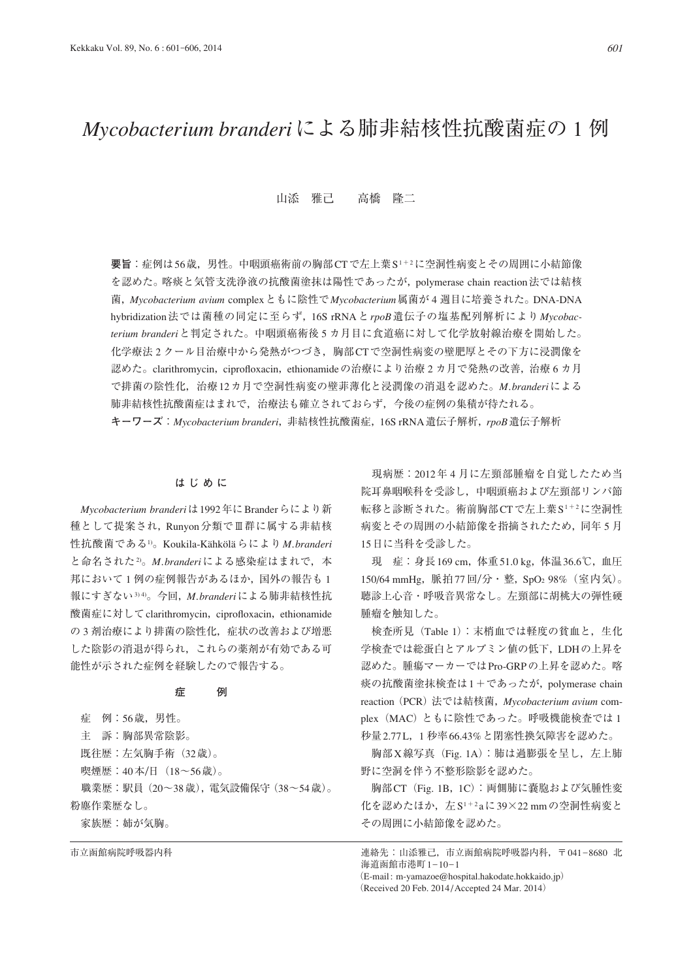# *Mycobacterium branderi*による肺非結核性抗酸菌症の 1 例

## 山添 雅己 高橋 隆二

**要旨**:症例は56歳,男性。中咽頭癌術前の胸部CTで左上葉S1+2に空洞性病変とその周囲に小結節像 を認めた。喀痰と気管支洗浄液の抗酸菌塗抹は陽性であったが,polymerase chain reaction法では結核 菌,*Mycobacterium avium* complexともに陰性で*Mycobacterium*属菌が 4 週目に培養された。DNA-DNA hybridization法では菌種の同定に至らず,16S rRNAと*rpoB*遺伝子の塩基配列解析により*Mycobacterium branderi*と判定された。中咽頭癌術後 5 カ月目に食道癌に対して化学放射線治療を開始した。 化学療法 2 クール目治療中から発熱がつづき,胸部CTで空洞性病変の壁肥厚とその下方に浸潤像を 認めた。clarithromycin, ciprofloxacin, ethionamideの治療により治療 2 カ月で発熱の改善, 治療 6 カ月 で排菌の陰性化,治療12カ月で空洞性病変の壁菲薄化と浸潤像の消退を認めた。*M. branderi*による 肺非結核性抗酸菌症はまれで,治療法も確立されておらず,今後の症例の集積が待たれる。 **キーワーズ**:*Mycobacterium branderi*,非結核性抗酸菌症,16S rRNA遺伝子解析,*rpoB*遺伝子解析

#### **はじめに**

*Mycobacterium branderi*は1992年にBranderらにより新 種として提案され,Runyon分類でⅢ群に属する非結核 性抗酸菌である1)。Koukila-Kähköläらにより*M. branderi* と命名された2)。*M. branderi*による感染症はまれで,本 邦において1例の症例報告があるほか、国外の報告も1 報にすぎない3) 4)。今回,*M. branderi*による肺非結核性抗 酸菌症に対してclarithromycin, ciprofloxacin, ethionamide の3剤治療により排菌の陰性化,症状の改善および増悪 した陰影の消退が得られ,これらの薬剤が有効である可 能性が示された症例を経験したので報告する。

#### **症 例**

 症 例:56歳,男性。 主 訴:胸部異常陰影。 既往歴:左気胸手術(32歳)。 喫煙歴:40本/日 (18~56歳)。 職業歴:駅員(20~38歳),電気設備保守(38~54歳)。 粉塵作業歴なし。 家族歴:姉が気胸。

 現病歴:2012年 4 月に左頸部腫瘤を自覚したため当 院耳鼻咽喉科を受診し,中咽頭癌および左頸部リンパ節 転移と診断された。術前胸部CTで左上葉S1+2に空洞性 病変とその周囲の小結節像を指摘されたため,同年 5 月 15日に当科を受診した。

 現 症:身長169 cm,体重51.0 kg,体温36.6℃,血圧 150/64 mmHg, 脈拍77回/分·整, SpO<sub>2</sub> 98% (室内気)。 聴診上心音・呼吸音異常なし。左頸部に胡桃大の弾性硬 腫瘤を触知した。

検査所見 (Table 1): 末梢血では軽度の貧血と, 生化 学検査では総蛋白とアルブミン値の低下,LDHの上昇を 認めた。腫瘍マーカーではPro-GRPの上昇を認めた。喀 痰の抗酸菌塗抹検査は1+であったが, polymerase chain reaction(PCR)法では結核菌,*Mycobacterium avium* complex (MAC)ともに陰性であった。呼吸機能検査では 1 秒量2.77 L,1 秒率66.43%と閉塞性換気障害を認めた。

 胸部X線写真(Fig. 1A):肺は過膨張を呈し,左上肺 野に空洞を伴う不整形陰影を認めた。

 胸部CT(Fig. 1B,1C):両側肺に嚢胞および気腫性変 化を認めたほか,左S1+2 aに39×22 mmの空洞性病変と その周囲に小結節像を認めた。

市立函館病院呼吸器内科 キリティング こうしょう こうしょう きゅうしょく こうしん すい こうしゅう おんきょう はんきゅう おんきょう 海道函館市港町1-10-1 (E-mail: m-yamazoe@hospital.hakodate.hokkaido.jp)

(Received 20 Feb. 2014 / Accepted 24 Mar. 2014)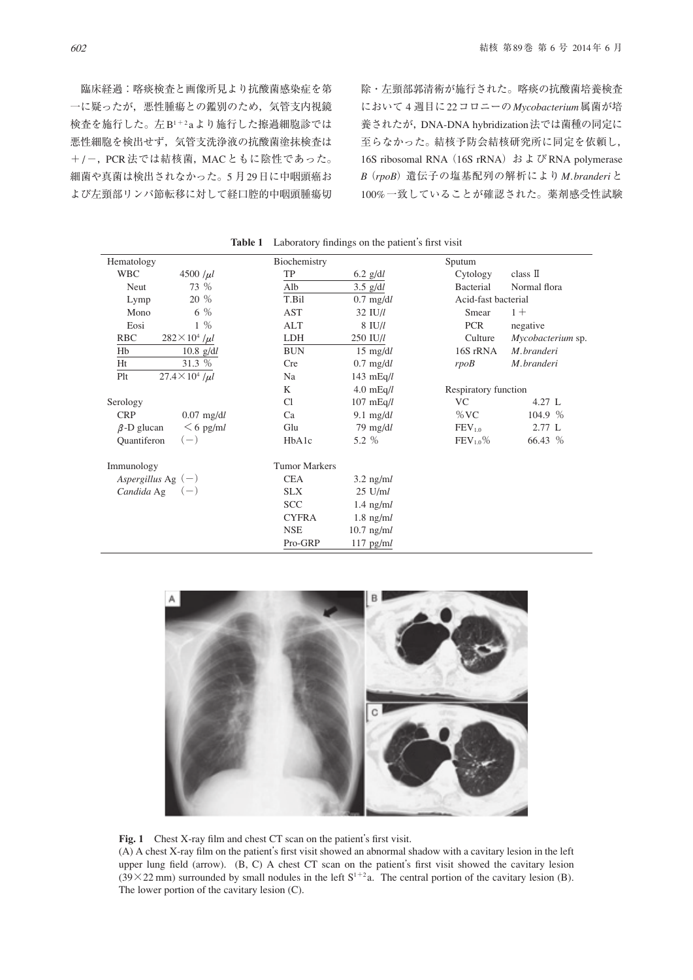臨床経過:喀痰検査と画像所見より抗酸菌感染症を第 一に疑ったが,悪性腫瘍との鑑別のため,気管支内視鏡 検査を施行した。左B1+2 aより施行した擦過細胞診では 悪性細胞を検出せず,気管支洗浄液の抗酸菌塗抹検査は +/-, PCR法では結核菌, MACともに陰性であった。 細菌や真菌は検出されなかった。5 月29日に中咽頭癌お よび左頸部リンパ節転移に対して経口腔的中咽頭腫瘍切

除・左頸部郭清術が施行された。喀痰の抗酸菌培養検査 において 4 週目に22コロニーの*Mycobacterium*属菌が培 養されたが,DNA-DNA hybridization法では菌種の同定に 至らなかった。結核予防会結核研究所に同定を依頼し, 16S ribosomal RNA (16S rRNA) および RNA polymerase *B*(*rpoB*)遺伝子の塩基配列の解析により*M. branderi*と 100%一致していることが確認された。薬剤感受性試験

| Hematology                          | Biochemistry         |                     | Sputum               |                   |
|-------------------------------------|----------------------|---------------------|----------------------|-------------------|
| <b>WBC</b><br>4500 $/ \mu l$        | TP                   | $6.2$ g/dl          | Cytology             | class II          |
| 73 %<br>Neut                        | Alb                  | $3.5$ g/dl          | Bacterial            | Normal flora      |
| 20 %<br>Lymp                        | T.Bil                | $0.7 \text{ mg/d}$  | Acid-fast bacterial  |                   |
| 6 %<br>Mono                         | AST                  | $32$ IU/ $l$        | Smear                | $1 +$             |
| $1\%$<br>Eosi                       | ALT                  | $8$ IU/ $l$         | <b>PCR</b>           | negative          |
| <b>RBC</b><br>$282 \times 10^4$ /µl | LDH                  | $250$ IU/l          | Culture              | Mycobacterium sp. |
| Hb<br>$10.8$ g/dl                   | <b>BUN</b>           | $15 \text{ mg/d}$   | 16S rRNA             | M.branderi        |
| 31.3 %<br>Ht                        | <b>Cre</b>           | $0.7 \text{ mg/d}$  | rpoB                 | M.branderi        |
| $27.4 \times 10^4$ /µl<br>Plt       | Na                   | 143 $mEq/l$         |                      |                   |
|                                     | K                    | 4.0 $mEq/l$         | Respiratory function |                   |
| Serology                            | C <sub>1</sub>       | $107 \text{ mEq}/l$ | VC                   | $4.27 \text{ L}$  |
| <b>CRP</b><br>$0.07$ mg/dl          | Ca                   | 9.1 $mg/dl$         | $\%$ VC              | 104.9 %           |
| $<$ 6 pg/ml<br>$\beta$ -D glucan    | Glu                  | $79 \text{ mg/d}$   | FEV <sub>1.0</sub>   | 2.77 L            |
| $(-)$<br><b>Quantiferon</b>         | HbA1c                | 5.2 %               | $FEV_{1.0}\%$        | 66.43 %           |
| Immunology                          | <b>Tumor Markers</b> |                     |                      |                   |
| Aspergillus Ag $(-)$                | <b>CEA</b>           | $3.2 \text{ ng/ml}$ |                      |                   |
| Candida Ag $(-)$                    | <b>SLX</b>           | $25 \text{ U/m}$    |                      |                   |
|                                     | <b>SCC</b>           | $1.4 \text{ ng/ml}$ |                      |                   |
|                                     | <b>CYFRA</b>         | $1.8$ ng/m $l$      |                      |                   |
|                                     | <b>NSE</b>           | $10.7$ ng/m $l$     |                      |                   |
|                                     | Pro-GRP              | $117$ pg/m $l$      |                      |                   |

Table 1 Laboratory findings on the patient's first visit



Fig. 1 Chest X-ray film and chest CT scan on the patient's first visit.

(A) A chest X-ray film on the patient's first visit showed an abnormal shadow with a cavitary lesion in the left upper lung field (arrow). (B, C) A chest CT scan on the patient's first visit showed the cavitary lesion  $(39\times22 \text{ mm})$  surrounded by small nodules in the left  $S^{1+2}$  a. The central portion of the cavitary lesion (B). The lower portion of the cavitary lesion (C).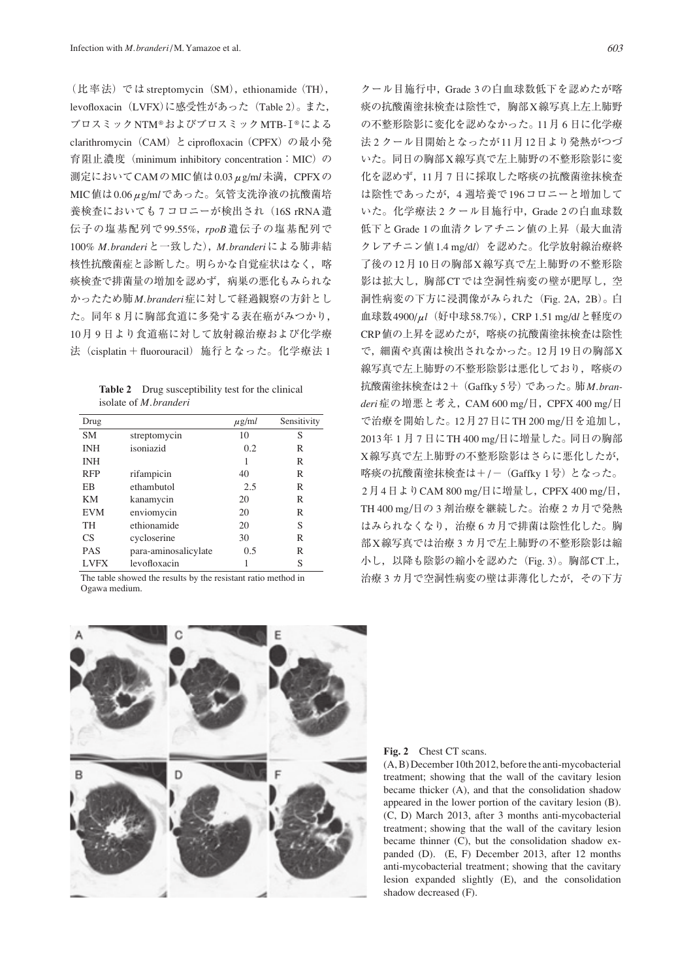(比率法) では streptomycin (SM), ethionamide (TH), levofloxacin (LVFX)に感受性があった (Table 2)。また, ブロスミックNTM®およびブロスミックMTB-Ⅰ®による clarithromycin (CAM) と ciprofloxacin (CPFX) の最小発 育阻止濃度 (minimum inhibitory concentration: MIC) の 測定においてCAMのMIC値は0.03μg/m*l*未満,CPFXの MIC値は0.06μg/m*l*であった。気管支洗浄液の抗酸菌培 養検査においても7コロニーが検出され (16S rRNA遺 伝子の塩基配列で 99.55%,*rpoB* 遺伝子の塩基配列で 100% *M. branderi*と一致した),*M. branderi*による肺非結 核性抗酸菌症と診断した。明らかな自覚症状はなく、喀 痰検査で排菌量の増加を認めず,病巣の悪化もみられな かったため肺*M. branderi*症に対して経過観察の方針とし た。同年 8 月に胸部食道に多発する表在癌がみつかり, 10月 9 日より食道癌に対して放射線治療および化学療 法 (cisplatin + fluorouracil) 施行となった。化学療法 1

| <b>Table 2</b> Drug susceptibility test for the clinical |
|----------------------------------------------------------|
| isolate of <i>M. branderi</i>                            |

| Drug        |                      | $\mu$ g/ml | Sensitivity |
|-------------|----------------------|------------|-------------|
| SM          | streptomycin         | 10         | S           |
| <b>INH</b>  | isoniazid            | 0.2        | R           |
| <b>INH</b>  |                      |            | R           |
| <b>RFP</b>  | rifampicin           | 40         | R           |
| ΕB          | ethambutol           | 2.5        | R           |
| KМ          | kanamycin            | 20         | R           |
| <b>EVM</b>  | enviomycin           | 20         | R           |
| TH          | ethionamide          | 20         | S           |
| CS          | cycloserine          | 30         | R           |
| <b>PAS</b>  | para-aminosalicylate | 0.5        | R           |
| <b>LVFX</b> | levofloxacin         |            | S           |

The table showed the results by the resistant ratio method in Ogawa medium.

クール目施行中,Grade 3の白血球数低下を認めたが喀 痰の抗酸菌塗抹検査は陰性で,胸部X線写真上左上肺野 の不整形陰影に変化を認めなかった。11月 6 日に化学療 法 2 クール目開始となったが11月12日より発熱がつづ いた。同日の胸部X線写真で左上肺野の不整形陰影に変 化を認めず,11月 7 日に採取した喀痰の抗酸菌塗抹検査 は陰性であったが,4 週培養で196コロニーと増加して いた。化学療法 2 クール目施行中,Grade 2の白血球数 低下とGrade 1の血清クレアチニン値の上昇(最大血清 クレアチニン値1.4 mg/d*l*)を認めた。化学放射線治療終 了後の12月10日の胸部X線写真で左上肺野の不整形陰 影は拡大し,胸部CTでは空洞性病変の壁が肥厚し,空 洞性病変の下方に浸潤像がみられた(Fig. 2A,2B)。白 血球数4900/μ*l*(好中球58.7%),CRP 1.51 mg/d*l*と軽度の CRP値の上昇を認めたが,喀痰の抗酸菌塗抹検査は陰性 で,細菌や真菌は検出されなかった。12月19日の胸部X 線写真で左上肺野の不整形陰影は悪化しており、喀痰の 抗酸菌塗抹検査は2+(Gaffky 5号)であった。肺*M. bran*deri症の増悪と考え, CAM 600 mg/日, CPFX 400 mg/日 で治療を開始した。12月27日にTH 200 mg ⁄日を追加し, 2013年1月7日にTH 400 mg/日に増量した。同日の胸部 X線写真で左上肺野の不整形陰影はさらに悪化したが, 喀痰の抗酸菌塗抹検査は+/- (Gaffky 1号)となった。 2月4日よりCAM 800 mg/日に増量し, CPFX 400 mg/日, TH 400 mg ⁄日の 3 剤治療を継続した。治療 2 カ月で発熱 はみられなくなり,治療 6 カ月で排菌は陰性化した。胸 部X線写真では治療 3 カ月で左上肺野の不整形陰影は縮 小し, 以降も陰影の縮小を認めた (Fig. 3)。胸部CT上, 治療 3 カ月で空洞性病変の壁は菲薄化したが,その下方



#### Fig. 2 Chest CT scans.

(A, B) December 10th 2012, before the anti-mycobacterial treatment; showing that the wall of the cavitary lesion became thicker (A), and that the consolidation shadow appeared in the lower portion of the cavitary lesion (B). (C, D) March 2013, after 3 months anti-mycobacterial treatment; showing that the wall of the cavitary lesion became thinner (C), but the consolidation shadow expanded (D). (E, F) December 2013, after 12 months anti-mycobacterial treatment; showing that the cavitary lesion expanded slightly (E), and the consolidation shadow decreased (F).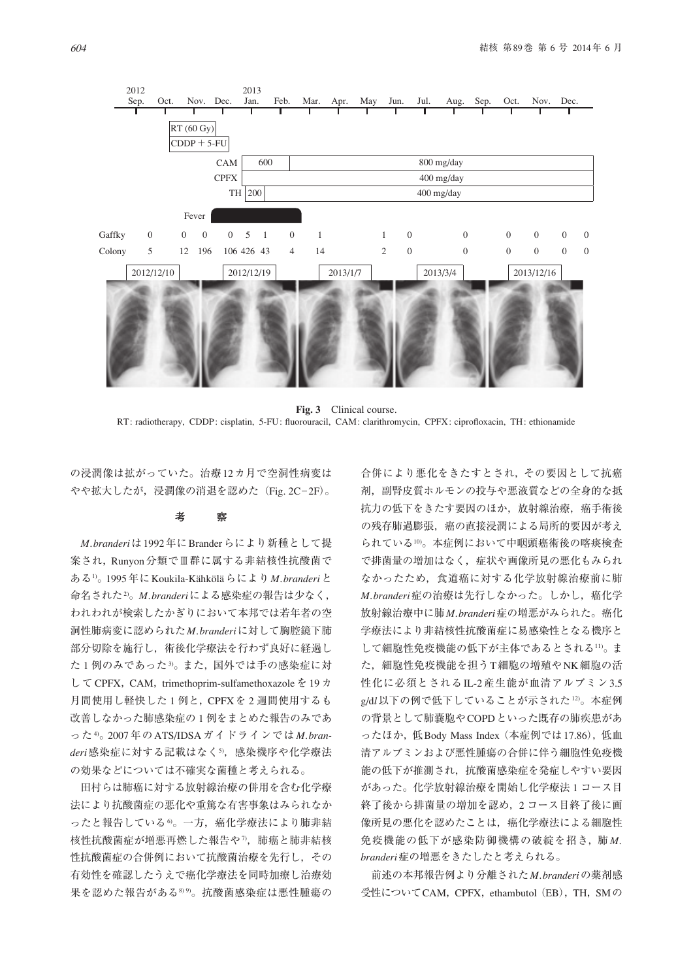

**Fig. 3** Clinical course. RT: radiotherapy, CDDP: cisplatin, 5-FU: fluorouracil, CAM: clarithromycin, CPFX: ciprofloxacin, TH: ethionamide

の浸潤像は拡がっていた。治療12カ月で空洞性病変は やや拡大したが、浸潤像の消退を認めた (Fig. 2C-2F)。

#### **考 察**

*M. branderi*は1992年にBranderらにより新種として提 案され, Runyon分類でⅢ群に属する非結核性抗酸菌で ある1)。1995年にKoukila-Kähköläらにより*M. branderi*と 命名された2)。*M. branderi*による感染症の報告は少なく, われわれが検索したかぎりにおいて本邦では若年者の空 洞性肺病変に認められた*M. branderi*に対して胸腔鏡下肺 部分切除を施行し、術後化学療法を行わず良好に経過し た1例のみであった3。また、国外では手の感染症に対 して CPFX, CAM, trimethoprim-sulfamethoxazole を 19 カ 月間使用し軽快した1例と, CPFXを2週間使用するも 改善しなかった肺感染症の 1 例をまとめた報告のみであ った4)。2007年のATS/IDSAガイドラインでは*M. branderi*感染症に対する記載はなく5),感染機序や化学療法 の効果などについては不確実な菌種と考えられる。

 田村らは肺癌に対する放射線治療の併用を含む化学療 法により抗酸菌症の悪化や重篤な有害事象はみられなか ったと報告している6)。一方,癌化学療法により肺非結 核性抗酸菌症が増悪再燃した報告や7),肺癌と肺非結核 性抗酸菌症の合併例において抗酸菌治療を先行し,その 有効性を確認したうえで癌化学療法を同時加療し治療効 果を認めた報告がある899。抗酸菌感染症は悪性腫瘍の

合併により悪化をきたすとされ,その要因として抗癌 剤,副腎皮質ホルモンの投与や悪液質などの全身的な抵 抗力の低下をきたす要因のほか、放射線治療、癌手術後 の残存肺過膨張、癌の直接浸潤による局所的要因が考え られている10)。本症例において中咽頭癌術後の喀痰検査 で排菌量の増加はなく,症状や画像所見の悪化もみられ なかったため,食道癌に対する化学放射線治療前に肺  $M.b$ randeri症の治療は先行しなかった。しかし、癌化学 放射線治療中に肺*M. branderi*症の増悪がみられた。癌化 学療法により非結核性抗酸菌症に易感染性となる機序と して細胞性免疫機能の低下が主体であるとされる11)。ま た,細胞性免疫機能を担うT細胞の増殖やNK細胞の活 性化に必須とされるIL-2産生能が血清アルブミン3.5 g/dl 以下の例で低下していることが示された12)。本症例 の背景として肺嚢胞やCOPDといった既存の肺疾患があ ったほか,低Body Mass Index (本症例では17.86),低血 清アルブミンおよび悪性腫瘍の合併に伴う細胞性免疫機 能の低下が推測され,抗酸菌感染症を発症しやすい要因 があった。化学放射線治療を開始し化学療法 1 コース目 終了後から排菌量の増加を認め,2 コース目終了後に画 像所見の悪化を認めたことは,癌化学療法による細胞性 免疫機能の低下が感染防御機構の破綻を招き,肺*M. branderi*症の増悪をきたしたと考えられる。

 前述の本邦報告例より分離された*M. branderi*の薬剤感 受性についてCAM, CPFX, ethambutol (EB), TH, SMの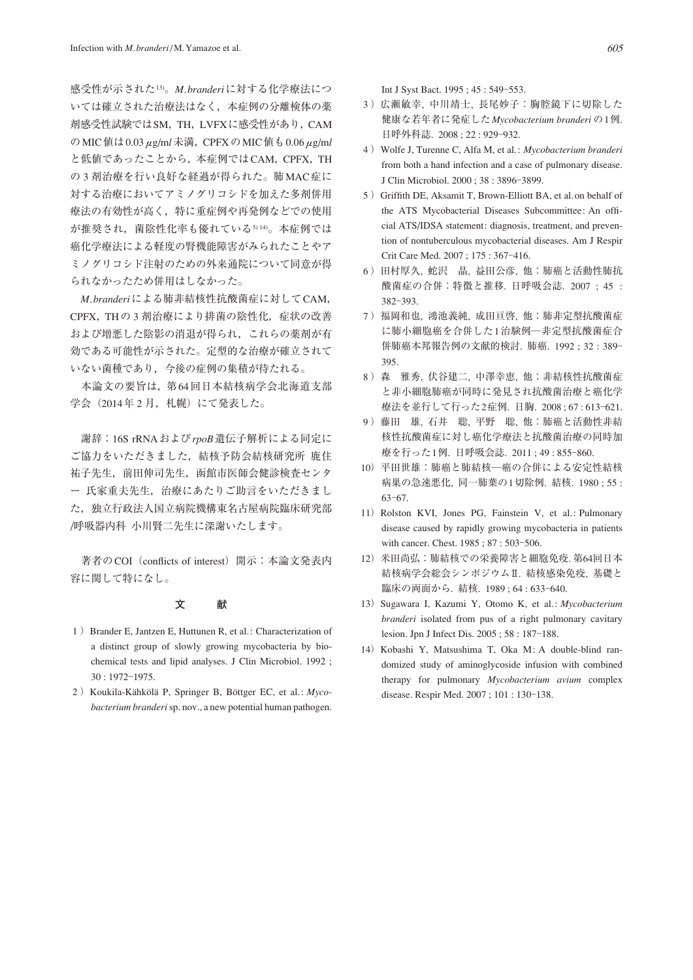感受性が示された13)。*M. branderi*に対する化学療法につ いては確立された治療法はなく,本症例の分離検体の薬 剤感受性試験ではSM,TH,LVFXに感受性があり,CAM のMIC値は0.03μg/m*l*未満,CPFXのMIC値も0.06μg/m*l* と低値であったことから、本症例ではCAM, CPFX, TH の 3 剤治療を行い良好な経過が得られた。肺MAC症に 対する治療においてアミノグリコシドを加えた多剤併用 療法の有効性が高く,特に重症例や再発例などでの使用 が推奨され、菌陰性化率も優れている514)。本症例では 癌化学療法による軽度の腎機能障害がみられたことやア ミノグリコシド注射のための外来通院について同意が得 られなかったため併用はしなかった。

*M. branderi*による肺非結核性抗酸菌症に対してCAM, CPFX, THの 3 剤治療により排菌の陰性化, 症状の改善 および増悪した陰影の消退が得られ,これらの薬剤が有 効である可能性が示された。定型的な治療が確立されて いない菌種であり,今後の症例の集積が待たれる。

 本論文の要旨は,第64回日本結核病学会北海道支部 学会 (2014年2月, 札幌)にて発表した。

 謝辞:16S rRNAおよび*rpoB*遺伝子解析による同定に ご協力をいただきました,結核予防会結核研究所 鹿住 祐子先生,前田伸司先生,函館市医師会健診検査センタ ー 氏家重夫先生,治療にあたりご助言をいただきまし た,独立行政法人国立病院機構東名古屋病院臨床研究部 ⁄呼吸器内科 小川賢二先生に深謝いたします。

著者のCOI (conflicts of interest) 開示:本論文発表内 容に関して特になし。

### **文 献**

- 1 ) Brander E, Jantzen E, Huttunen R, et al.: Characterization of a distinct group of slowly growing mycobacteria by biochemical tests and lipid analyses. J Clin Microbiol. 1992 ; 30 : 1972‒1975.
- 2 ) Koukila-Kähkölä P, Springer B, Böttger EC, et al.: *Mycobacterium branderi* sp. nov., a new potential human pathogen.

Int J Syst Bact. 1995 ; 45 : 549‒553.

- 3 )広瀬敏幸, 中川靖士, 長尾妙子:胸腔鏡下に切除した 健康な若年者に発症した*Mycobacterium branderi* の1例. 日呼外科誌. 2008 ; 22 : 929‒932.
- 4 ) Wolfe J, Turenne C, Alfa M, et al.: *Mycobacterium branderi*  from both a hand infection and a case of pulmonary disease. J Clin Microbiol. 2000 ; 38 : 3896‒3899.
- 5 ) Griffith DE, Aksamit T, Brown-Elliott BA, et al. on behalf of the ATS Mycobacterial Diseases Subcommittee: An official ATS/IDSA statement: diagnosis, treatment, and prevention of nontuberculous mycobacterial diseases. Am J Respir Crit Care Med. 2007; 175: 367-416.
- 6 )田村厚久, 蛇沢 晶, 益田公彦, 他:肺癌と活動性肺抗 酸菌症の合併:特徴と推移. 日呼吸会誌. 2007 ; 45 : 382‒393.
- 7 )福岡和也, 鴻池義純, 成田亘啓, 他:肺非定型抗酸菌症 に肺小細胞癌を合併した1治験例─非定型抗酸菌症合 併肺癌本邦報告例の文献的検討. 肺癌. 1992 ; 32 : 389‒ 395.
- 8 )森 雅秀, 伏谷建二, 中澤幸恵, 他:非結核性抗酸菌症 と非小細胞肺癌が同時に発見され抗酸菌治療と癌化学 療法を並行して行った2症例. 日胸. 2008 ; 67 : 613‒621.
- 9) 藤田 雄, 石井 聡, 平野 聡, 他: 肺癌と活動性非結 核性抗酸菌症に対し癌化学療法と抗酸菌治療の同時加 療を行った1例. 日呼吸会誌. 2011 ; 49 : 855‒860.
- 10)平田世雄:肺癌と肺結核─癌の合併による安定性結核 病巣の急速悪化, 同一肺葉の1切除例. 結核. 1980 ; 55 : 63–67.
- 11) Rolston KVI, Jones PG, Fainstein V, et al.: Pulmonary disease caused by rapidly growing mycobacteria in patients with cancer. Chest. 1985; 87: 503-506.
- 12)米田尚弘:肺結核での栄養障害と細胞免疫. 第64回日本 結核病学会総会シンポジウムⅡ. 結核感染免疫, 基礎と 臨床の両面から. 結核. 1989 ; 64 : 633‒640.
- 13) Sugawara I, Kazumi Y, Otomo K, et al.: *Mycobacterium branderi* isolated from pus of a right pulmonary cavitary lesion. Jpn J Infect Dis. 2005 ; 58 : 187-188.
- 14) Kobashi Y, Matsushima T, Oka M: A double-blind randomized study of aminoglycoside infusion with combined therapy for pulmonary *Mycobacterium avium* complex disease. Respir Med. 2007; 101: 130-138.